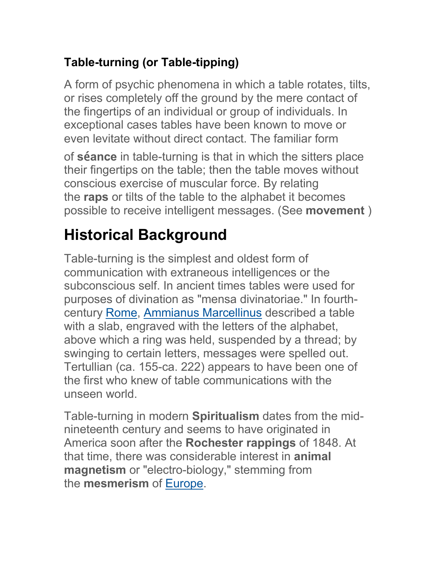#### **Table-turning (or Table-tipping)**

A form of psychic phenomena in which a table rotates, tilts, or rises completely off the ground by the mere contact of the fingertips of an individual or group of individuals. In exceptional cases tables have been known to move or even levitate without direct contact. The familiar form

of **s**é**ance** in table-turning is that in which the sitters place their fingertips on the table; then the table moves without conscious exercise of muscular force. By relating the **raps** or tilts of the table to the alphabet it becomes possible to receive intelligent messages. (See **movement** )

# **Historical Background**

Table-turning is the simplest and oldest form of communication with extraneous intelligences or the subconscious self. In ancient times tables were used for purposes of divination as "mensa divinatoriae." In fourthcentury Rome, Ammianus Marcellinus described a table with a slab, engraved with the letters of the alphabet, above which a ring was held, suspended by a thread; by swinging to certain letters, messages were spelled out. Tertullian (ca. 155-ca. 222) appears to have been one of the first who knew of table communications with the unseen world.

Table-turning in modern **Spiritualism** dates from the midnineteenth century and seems to have originated in America soon after the **Rochester rappings** of 1848. At that time, there was considerable interest in **animal magnetism** or "electro-biology," stemming from the **mesmerism** of Europe.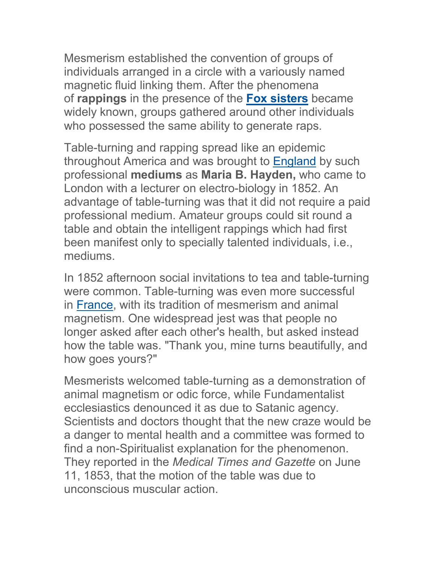Mesmerism established the convention of groups of individuals arranged in a circle with a variously named magnetic fluid linking them. After the phenomena of **rappings** in the presence of the **Fox sisters** became widely known, groups gathered around other individuals who possessed the same ability to generate raps.

Table-turning and rapping spread like an epidemic throughout America and was brought to England by such professional **mediums** as **Maria B. Hayden,** who came to London with a lecturer on electro-biology in 1852. An advantage of table-turning was that it did not require a paid professional medium. Amateur groups could sit round a table and obtain the intelligent rappings which had first been manifest only to specially talented individuals, i.e., mediums.

In 1852 afternoon social invitations to tea and table-turning were common. Table-turning was even more successful in France, with its tradition of mesmerism and animal magnetism. One widespread jest was that people no longer asked after each other's health, but asked instead how the table was. "Thank you, mine turns beautifully, and how goes yours?"

Mesmerists welcomed table-turning as a demonstration of animal magnetism or odic force, while Fundamentalist ecclesiastics denounced it as due to Satanic agency. Scientists and doctors thought that the new craze would be a danger to mental health and a committee was formed to find a non-Spiritualist explanation for the phenomenon. They reported in the *Medical Times and Gazette* on June 11, 1853, that the motion of the table was due to unconscious muscular action.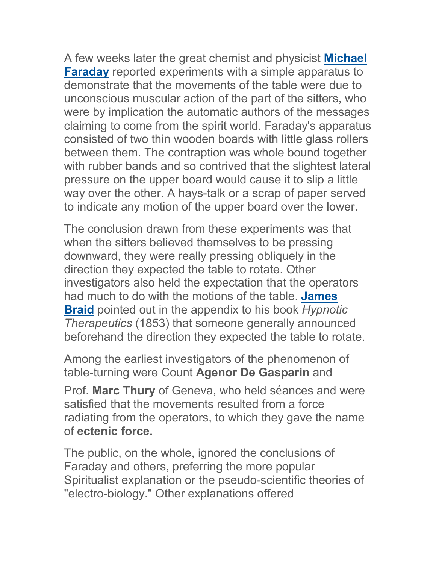A few weeks later the great chemist and physicist **Michael Faraday** reported experiments with a simple apparatus to demonstrate that the movements of the table were due to unconscious muscular action of the part of the sitters, who were by implication the automatic authors of the messages claiming to come from the spirit world. Faraday's apparatus consisted of two thin wooden boards with little glass rollers between them. The contraption was whole bound together with rubber bands and so contrived that the slightest lateral pressure on the upper board would cause it to slip a little way over the other. A hays-talk or a scrap of paper served to indicate any motion of the upper board over the lower.

The conclusion drawn from these experiments was that when the sitters believed themselves to be pressing downward, they were really pressing obliquely in the direction they expected the table to rotate. Other investigators also held the expectation that the operators had much to do with the motions of the table. **James Braid** pointed out in the appendix to his book *Hypnotic Therapeutics* (1853) that someone generally announced beforehand the direction they expected the table to rotate.

Among the earliest investigators of the phenomenon of table-turning were Count **Agenor De Gasparin** and

Prof. **Marc Thury** of Geneva, who held séances and were satisfied that the movements resulted from a force radiating from the operators, to which they gave the name of **ectenic force.**

The public, on the whole, ignored the conclusions of Faraday and others, preferring the more popular Spiritualist explanation or the pseudo-scientific theories of "electro-biology." Other explanations offered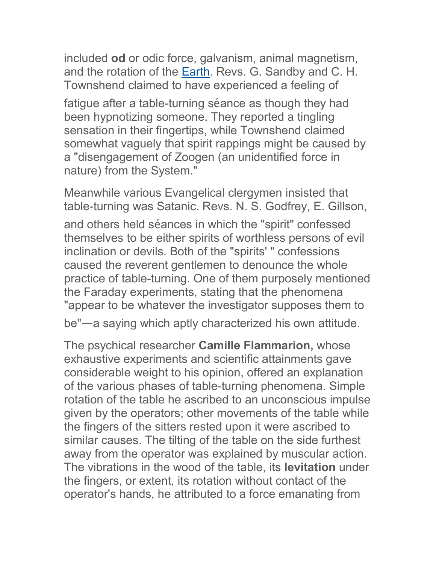included **od** or odic force, galvanism, animal magnetism, and the rotation of the Earth. Revs. G. Sandby and C. H. Townshend claimed to have experienced a feeling of

fatigue after a table-turning séance as though they had been hypnotizing someone. They reported a tingling sensation in their fingertips, while Townshend claimed somewhat vaguely that spirit rappings might be caused by a "disengagement of Zoogen (an unidentified force in nature) from the System."

Meanwhile various Evangelical clergymen insisted that table-turning was Satanic. Revs. N. S. Godfrey, E. Gillson, and others held séances in which the "spirit" confessed themselves to be either spirits of worthless persons of evil inclination or devils. Both of the "spirits' " confessions caused the reverent gentlemen to denounce the whole practice of table-turning. One of them purposely mentioned the Faraday experiments, stating that the phenomena "appear to be whatever the investigator supposes them to

be"—a saying which aptly characterized his own attitude.

The psychical researcher **Camille Flammarion,** whose exhaustive experiments and scientific attainments gave considerable weight to his opinion, offered an explanation of the various phases of table-turning phenomena. Simple rotation of the table he ascribed to an unconscious impulse given by the operators; other movements of the table while the fingers of the sitters rested upon it were ascribed to similar causes. The tilting of the table on the side furthest away from the operator was explained by muscular action. The vibrations in the wood of the table, its **levitation** under the fingers, or extent, its rotation without contact of the operator's hands, he attributed to a force emanating from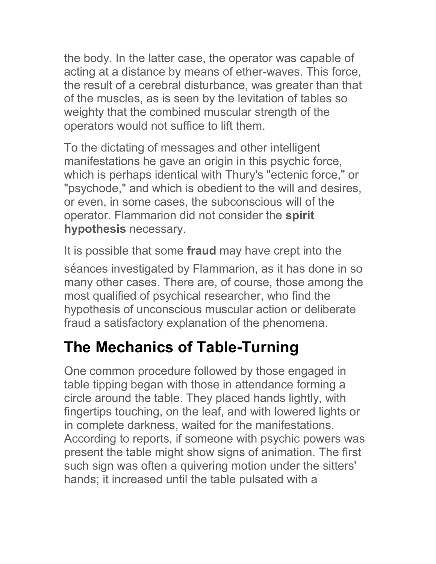the body. In the latter case, the operator was capable of acting at a distance by means of ether-waves. This force, the result of a cerebral disturbance, was greater than that of the muscles, as is seen by the levitation of tables so weighty that the combined muscular strength of the operators would not suffice to lift them.

To the dictating of messages and other intelligent manifestations he gave an origin in this psychic force, which is perhaps identical with Thury's "ectenic force," or "psychode," and which is obedient to the will and desires, or even, in some cases, the subconscious will of the operator. Flammarion did not consider the **spirit hypothesis** necessary.

It is possible that some **fraud** may have crept into the séances investigated by Flammarion, as it has done in so many other cases. There are, of course, those among the most qualified of psychical researcher, who find the hypothesis of unconscious muscular action or deliberate fraud a satisfactory explanation of the phenomena.

# **The Mechanics of Table-Turning**

One common procedure followed by those engaged in table tipping began with those in attendance forming a circle around the table. They placed hands lightly, with fingertips touching, on the leaf, and with lowered lights or in complete darkness, waited for the manifestations. According to reports, if someone with psychic powers was present the table might show signs of animation. The first such sign was often a quivering motion under the sitters' hands; it increased until the table pulsated with a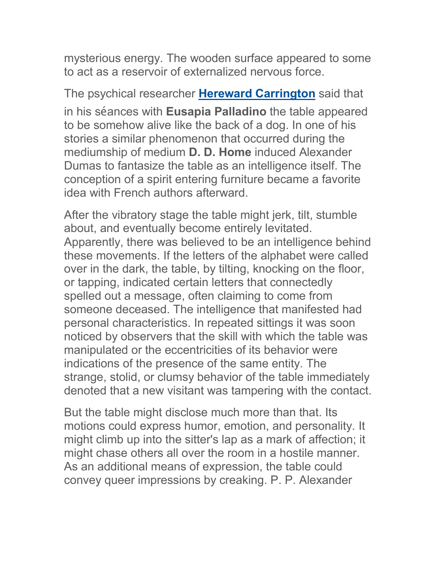mysterious energy. The wooden surface appeared to some to act as a reservoir of externalized nervous force.

The psychical researcher **Hereward Carrington** said that in his séances with **Eusapia Palladino** the table appeared to be somehow alive like the back of a dog. In one of his stories a similar phenomenon that occurred during the mediumship of medium **D. D. Home** induced Alexander Dumas to fantasize the table as an intelligence itself. The conception of a spirit entering furniture became a favorite idea with French authors afterward.

After the vibratory stage the table might jerk, tilt, stumble about, and eventually become entirely levitated. Apparently, there was believed to be an intelligence behind these movements. If the letters of the alphabet were called over in the dark, the table, by tilting, knocking on the floor, or tapping, indicated certain letters that connectedly spelled out a message, often claiming to come from someone deceased. The intelligence that manifested had personal characteristics. In repeated sittings it was soon noticed by observers that the skill with which the table was manipulated or the eccentricities of its behavior were indications of the presence of the same entity. The strange, stolid, or clumsy behavior of the table immediately denoted that a new visitant was tampering with the contact.

But the table might disclose much more than that. Its motions could express humor, emotion, and personality. It might climb up into the sitter's lap as a mark of affection; it might chase others all over the room in a hostile manner. As an additional means of expression, the table could convey queer impressions by creaking. P. P. Alexander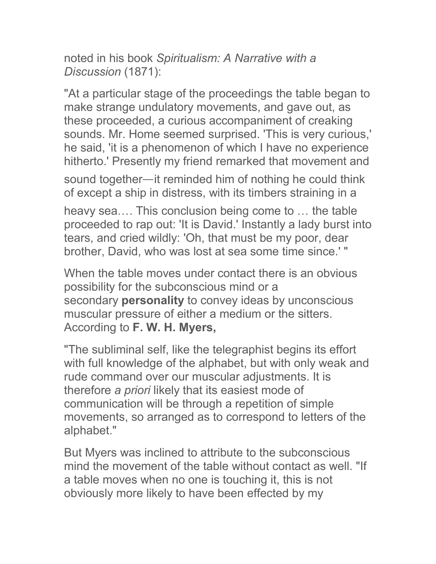noted in his book *Spiritualism: A Narrative with a Discussion* (1871):

"At a particular stage of the proceedings the table began to make strange undulatory movements, and gave out, as these proceeded, a curious accompaniment of creaking sounds. Mr. Home seemed surprised. 'This is very curious,' he said, 'it is a phenomenon of which I have no experience hitherto.' Presently my friend remarked that movement and

sound together—it reminded him of nothing he could think of except a ship in distress, with its timbers straining in a

heavy sea…. This conclusion being come to … the table proceeded to rap out: 'It is David.' Instantly a lady burst into tears, and cried wildly: 'Oh, that must be my poor, dear brother, David, who was lost at sea some time since.' "

When the table moves under contact there is an obvious possibility for the subconscious mind or a secondary **personality** to convey ideas by unconscious muscular pressure of either a medium or the sitters. According to **F. W. H. Myers,**

"The subliminal self, like the telegraphist begins its effort with full knowledge of the alphabet, but with only weak and rude command over our muscular adjustments. It is therefore *a priori* likely that its easiest mode of communication will be through a repetition of simple movements, so arranged as to correspond to letters of the alphabet."

But Myers was inclined to attribute to the subconscious mind the movement of the table without contact as well. "If a table moves when no one is touching it, this is not obviously more likely to have been effected by my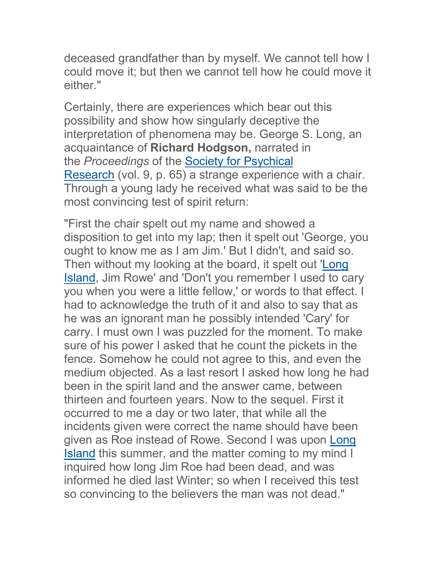deceased grandfather than by myself. We cannot tell how I could move it; but then we cannot tell how he could move it either."

Certainly, there are experiences which bear out this possibility and show how singularly deceptive the interpretation of phenomena may be. George S. Long, an acquaintance of **Richard Hodgson,** narrated in the *Proceedings* of the Society for Psychical Research (vol. 9, p. 65) a strange experience with a chair. Through a young lady he received what was said to be the most convincing test of spirit return:

"First the chair spelt out my name and showed a disposition to get into my lap; then it spelt out 'George, you ought to know me as I am Jim.' But I didn't, and said so. Then without my looking at the board, it spelt out 'Long Island, Jim Rowe' and 'Don't you remember I used to cary you when you were a little fellow,' or words to that effect. I had to acknowledge the truth of it and also to say that as he was an ignorant man he possibly intended 'Cary' for carry. I must own I was puzzled for the moment. To make sure of his power I asked that he count the pickets in the fence. Somehow he could not agree to this, and even the medium objected. As a last resort I asked how long he had been in the spirit land and the answer came, between thirteen and fourteen years. Now to the sequel. First it occurred to me a day or two later, that while all the incidents given were correct the name should have been given as Roe instead of Rowe. Second I was upon Long Island this summer, and the matter coming to my mind I inquired how long Jim Roe had been dead, and was informed he died last Winter; so when I received this test so convincing to the believers the man was not dead."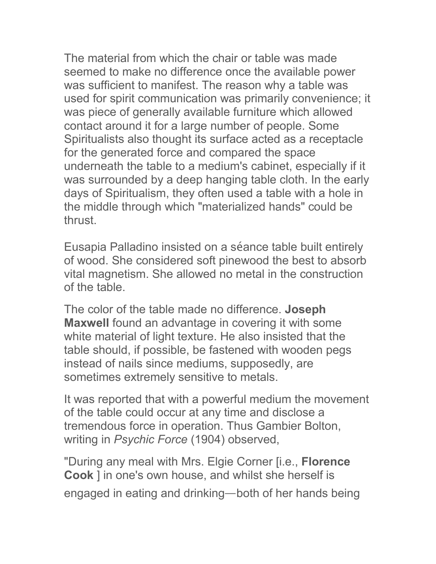The material from which the chair or table was made seemed to make no difference once the available power was sufficient to manifest. The reason why a table was used for spirit communication was primarily convenience; it was piece of generally available furniture which allowed contact around it for a large number of people. Some Spiritualists also thought its surface acted as a receptacle for the generated force and compared the space underneath the table to a medium's cabinet, especially if it was surrounded by a deep hanging table cloth. In the early days of Spiritualism, they often used a table with a hole in the middle through which "materialized hands" could be thrust.

Eusapia Palladino insisted on a séance table built entirely of wood. She considered soft pinewood the best to absorb vital magnetism. She allowed no metal in the construction of the table.

The color of the table made no difference. **Joseph Maxwell** found an advantage in covering it with some white material of light texture. He also insisted that the table should, if possible, be fastened with wooden pegs instead of nails since mediums, supposedly, are sometimes extremely sensitive to metals.

It was reported that with a powerful medium the movement of the table could occur at any time and disclose a tremendous force in operation. Thus Gambier Bolton, writing in *Psychic Force* (1904) observed,

"During any meal with Mrs. Elgie Corner [i.e., **Florence Cook** ] in one's own house, and whilst she herself is engaged in eating and drinking—both of her hands being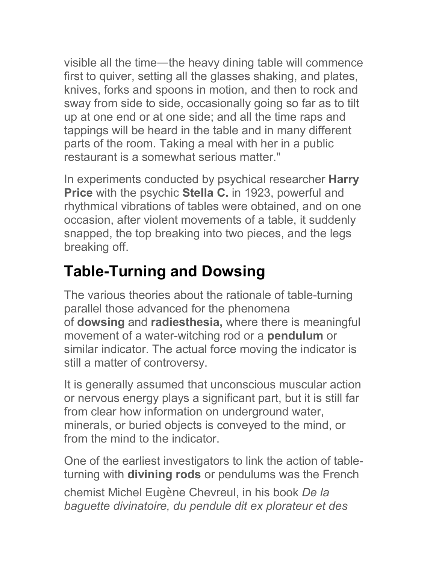visible all the time—the heavy dining table will commence first to quiver, setting all the glasses shaking, and plates, knives, forks and spoons in motion, and then to rock and sway from side to side, occasionally going so far as to tilt up at one end or at one side; and all the time raps and tappings will be heard in the table and in many different parts of the room. Taking a meal with her in a public restaurant is a somewhat serious matter."

In experiments conducted by psychical researcher **Harry Price** with the psychic **Stella C.** in 1923, powerful and rhythmical vibrations of tables were obtained, and on one occasion, after violent movements of a table, it suddenly snapped, the top breaking into two pieces, and the legs breaking off.

# **Table-Turning and Dowsing**

The various theories about the rationale of table-turning parallel those advanced for the phenomena of **dowsing** and **radiesthesia,** where there is meaningful movement of a water-witching rod or a **pendulum** or similar indicator. The actual force moving the indicator is still a matter of controversy.

It is generally assumed that unconscious muscular action or nervous energy plays a significant part, but it is still far from clear how information on underground water, minerals, or buried objects is conveyed to the mind, or from the mind to the indicator.

One of the earliest investigators to link the action of tableturning with **divining rods** or pendulums was the French chemist Michel Eugène Chevreul, in his book *De la baguette divinatoire, du pendule dit ex plorateur et des*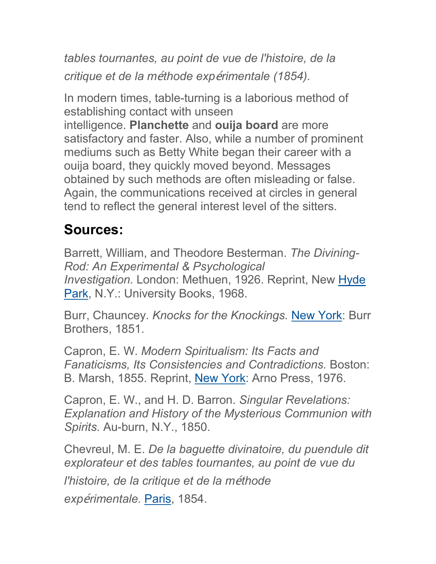*tables tournantes, au point de vue de l'histoire, de la critique et de la m*é*thode exp*é*rimentale (1854).*

In modern times, table-turning is a laborious method of establishing contact with unseen

intelligence. **Planchette** and **ouija board** are more satisfactory and faster. Also, while a number of prominent mediums such as Betty White began their career with a ouija board, they quickly moved beyond. Messages obtained by such methods are often misleading or false. Again, the communications received at circles in general tend to reflect the general interest level of the sitters.

### **Sources:**

Barrett, William, and Theodore Besterman. *The Divining-Rod: An Experimental & Psychological Investigation.* London: Methuen, 1926. Reprint, New Hyde Park, N.Y.: University Books, 1968.

Burr, Chauncey. *Knocks for the Knockings.* New York: Burr Brothers, 1851.

Capron, E. W. *Modern Spiritualism: Its Facts and Fanaticisms, Its Consistencies and Contradictions.* Boston: B. Marsh, 1855. Reprint, New York: Arno Press, 1976.

Capron, E. W., and H. D. Barron. *Singular Revelations: Explanation and History of the Mysterious Communion with Spirits.* Au-burn, N.Y., 1850.

Chevreul, M. E. *De la baguette divinatoire, du puendule dit explorateur et des tables tournantes, au point de vue du* 

*l'histoire, de la critique et de la m*é*thode* 

*exp*é*rimentale.* Paris, 1854.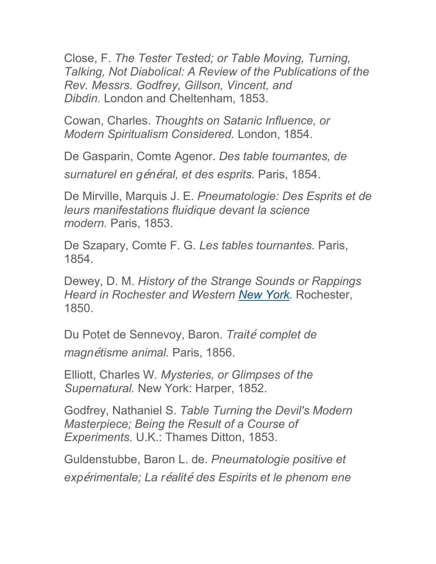Close, F. *The Tester Tested; or Table Moving, Turning, Talking, Not Diabolical: A Review of the Publications of the Rev. Messrs. Godfrey, Gillson, Vincent, and Dibdin.* London and Cheltenham, 1853.

Cowan, Charles. *Thoughts on Satanic Influence, or Modern Spiritualism Considered.* London, 1854.

De Gasparin, Comte Agenor. *Des table tournantes, de surnaturel en g*é*n*é*ral, et des esprits.* Paris, 1854.

De Mirville, Marquis J. E. *Pneumatologie: Des Esprits et de leurs manifestations fluidique devant la science modern.* Paris, 1853.

De Szapary, Comte F. G. *Les tables tournantes.* Paris, 1854.

Dewey, D. M. *History of the Strange Sounds or Rappings Heard in Rochester and Western New York.* Rochester, 1850.

Du Potet de Sennevoy, Baron. *Trait*é *complet de magn*é*tisme animal.* Paris, 1856.

Elliott, Charles W. *Mysteries, or Glimpses of the Supernatural.* New York: Harper, 1852.

Godfrey, Nathaniel S. *Table Turning the Devil's Modern Masterpiece; Being the Result of a Course of Experiments.* U.K.: Thames Ditton, 1853.

Guldenstubbe, Baron L. de. *Pneumatologie positive et exp*é*rimentale; La r*é*alit*é *des Espirits et le phenom ene*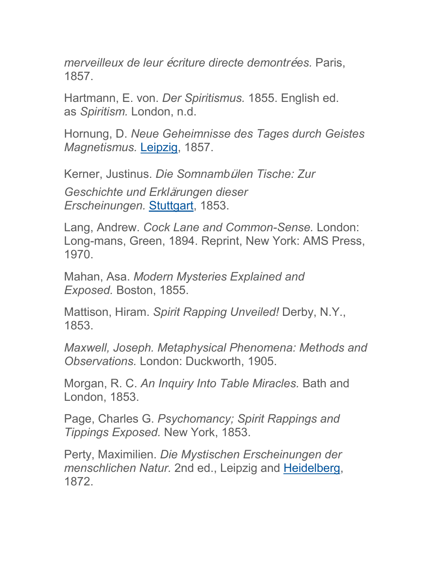*merveilleux de leur* é*criture directe demontr*é*es.* Paris, 1857.

Hartmann, E. von. *Der Spiritismus.* 1855. English ed. as *Spiritism.* London, n.d.

Hornung, D. *Neue Geheimnisse des Tages durch Geistes Magnetismus.* Leipzig, 1857.

Kerner, Justinus. *Die Somnamb*ü*len Tische: Zur* 

*Geschichte und Erkl*ä*rungen dieser Erscheinungen.* Stuttgart, 1853.

Lang, Andrew. *Cock Lane and Common-Sense.* London: Long-mans, Green, 1894. Reprint, New York: AMS Press, 1970.

Mahan, Asa. *Modern Mysteries Explained and Exposed.* Boston, 1855.

Mattison, Hiram. *Spirit Rapping Unveiled!* Derby, N.Y., 1853.

*Maxwell, Joseph. Metaphysical Phenomena: Methods and Observations.* London: Duckworth, 1905.

Morgan, R. C. *An Inquiry Into Table Miracles.* Bath and London, 1853.

Page, Charles G. *Psychomancy; Spirit Rappings and Tippings Exposed.* New York, 1853.

Perty, Maximilien. *Die Mystischen Erscheinungen der menschlichen Natur.* 2nd ed., Leipzig and Heidelberg, 1872.